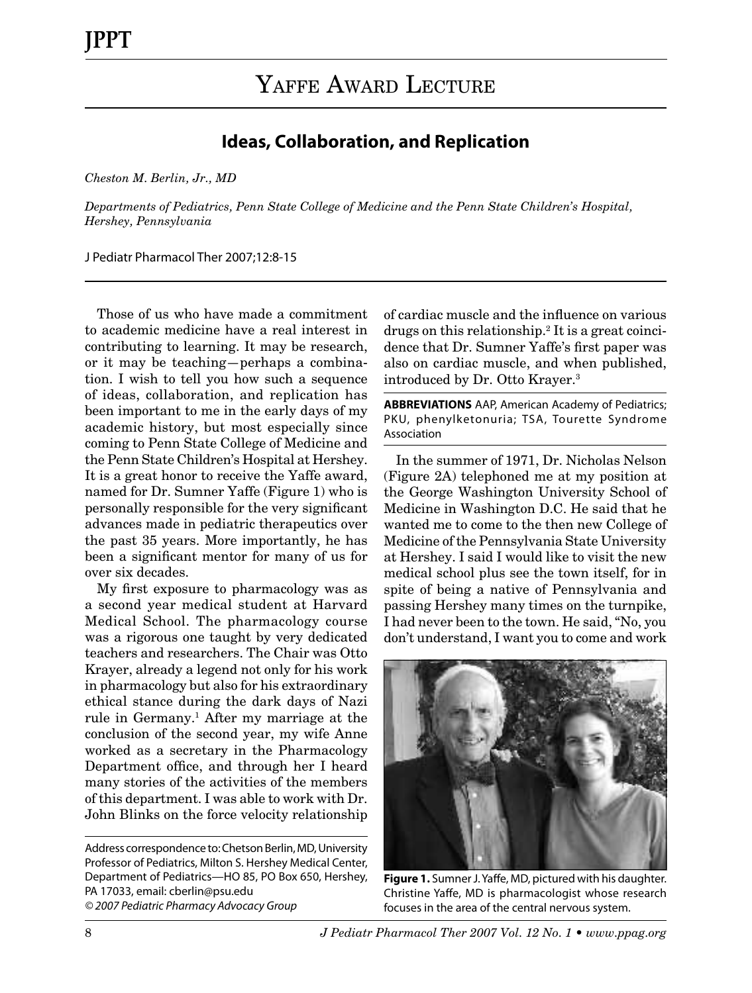## **Ideas, Collaboration, and Replication**

*Cheston M. Berlin, Jr., MD*

*Departments of Pediatrics, Penn State College of Medicine and the Penn State Children's Hospital, Hershey, Pennsylvania*

J Pediatr Pharmacol Ther 2007;12:8-15

Those of us who have made a commitment to academic medicine have a real interest in contributing to learning. It may be research, or it may be teaching—perhaps a combination. I wish to tell you how such a sequence of ideas, collaboration, and replication has been important to me in the early days of my academic history, but most especially since coming to Penn State College of Medicine and the Penn State Children's Hospital at Hershey. It is a great honor to receive the Yaffe award, named for Dr. Sumner Yaffe (Figure 1) who is personally responsible for the very significant advances made in pediatric therapeutics over the past 35 years. More importantly, he has been a significant mentor for many of us for over six decades.

My first exposure to pharmacology was as a second year medical student at Harvard Medical School. The pharmacology course was a rigorous one taught by very dedicated teachers and researchers. The Chair was Otto Krayer, already a legend not only for his work in pharmacology but also for his extraordinary ethical stance during the dark days of Nazi rule in Germany.<sup>1</sup> After my marriage at the conclusion of the second year, my wife Anne worked as a secretary in the Pharmacology Department office, and through her I heard many stories of the activities of the members of this department. I was able to work with Dr. John Blinks on the force velocity relationship

of cardiac muscle and the influence on various drugs on this relationship.2 It is a great coincidence that Dr. Sumner Yaffe's first paper was also on cardiac muscle, and when published, introduced by Dr. Otto Krayer.3

**ABBREVIATIONS** AAP, American Academy of Pediatrics; PKU, phenylketonuria; TSA, Tourette Syndrome Association

In the summer of 1971, Dr. Nicholas Nelson (Figure 2A) telephoned me at my position at the George Washington University School of Medicine in Washington D.C. He said that he wanted me to come to the then new College of Medicine of the Pennsylvania State University at Hershey. I said I would like to visit the new medical school plus see the town itself, for in spite of being a native of Pennsylvania and passing Hershey many times on the turnpike, I had never been to the town. He said, "No, you don't understand, I want you to come and work



**Figure 1.** Sumner J. Yaffe, MD, pictured with his daughter. Christine Yaffe, MD is pharmacologist whose research focuses in the area of the central nervous system.

Address correspondence to: Chetson Berlin, MD, University Professor of Pediatrics, Milton S. Hershey Medical Center, Department of Pediatrics—HO 85, PO Box 650, Hershey, PA 17033, email: cberlin@psu.edu *© 2007 Pediatric Pharmacy Advocacy Group*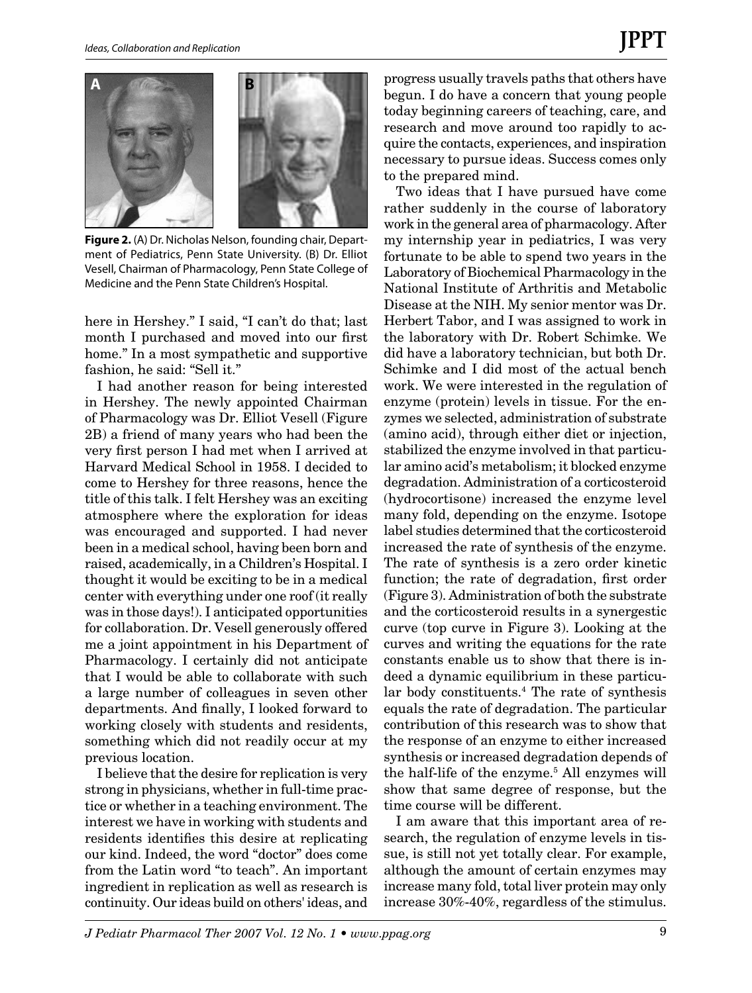

**Figure 2.** (A) Dr. Nicholas Nelson, founding chair, Department of Pediatrics, Penn State University. (B) Dr. Elliot Vesell, Chairman of Pharmacology, Penn State College of Medicine and the Penn State Children's Hospital.

here in Hershey." I said, "I can't do that; last month I purchased and moved into our first home." In a most sympathetic and supportive fashion, he said: "Sell it."

I had another reason for being interested in Hershey. The newly appointed Chairman of Pharmacology was Dr. Elliot Vesell (Figure 2B) a friend of many years who had been the very first person I had met when I arrived at Harvard Medical School in 1958. I decided to come to Hershey for three reasons, hence the title of this talk. I felt Hershey was an exciting atmosphere where the exploration for ideas was encouraged and supported. I had never been in a medical school, having been born and raised, academically, in a Children's Hospital. I thought it would be exciting to be in a medical center with everything under one roof (it really was in those days!). I anticipated opportunities for collaboration. Dr. Vesell generously offered me a joint appointment in his Department of Pharmacology. I certainly did not anticipate that I would be able to collaborate with such a large number of colleagues in seven other departments. And finally, I looked forward to working closely with students and residents, something which did not readily occur at my previous location.

I believe that the desire for replication is very strong in physicians, whether in full-time practice or whether in a teaching environment. The interest we have in working with students and residents identifies this desire at replicating our kind. Indeed, the word "doctor" does come from the Latin word "to teach". An important ingredient in replication as well as research is continuity. Our ideas build on others' ideas, and progress usually travels paths that others have begun. I do have a concern that young people today beginning careers of teaching, care, and research and move around too rapidly to acquire the contacts, experiences, and inspiration necessary to pursue ideas. Success comes only to the prepared mind.

Two ideas that I have pursued have come rather suddenly in the course of laboratory work in the general area of pharmacology. After my internship year in pediatrics, I was very fortunate to be able to spend two years in the Laboratory of Biochemical Pharmacology in the National Institute of Arthritis and Metabolic Disease at the NIH. My senior mentor was Dr. Herbert Tabor, and I was assigned to work in the laboratory with Dr. Robert Schimke. We did have a laboratory technician, but both Dr. Schimke and I did most of the actual bench work. We were interested in the regulation of enzyme (protein) levels in tissue. For the enzymes we selected, administration of substrate (amino acid), through either diet or injection, stabilized the enzyme involved in that particular amino acid's metabolism; it blocked enzyme degradation. Administration of a corticosteroid (hydrocortisone) increased the enzyme level many fold, depending on the enzyme. Isotope label studies determined that the corticosteroid increased the rate of synthesis of the enzyme. The rate of synthesis is a zero order kinetic function; the rate of degradation, first order (Figure 3). Administration of both the substrate and the corticosteroid results in a synergestic curve (top curve in Figure 3). Looking at the curves and writing the equations for the rate constants enable us to show that there is indeed a dynamic equilibrium in these particular body constituents.4 The rate of synthesis equals the rate of degradation. The particular contribution of this research was to show that the response of an enzyme to either increased synthesis or increased degradation depends of the half-life of the enzyme.<sup>5</sup> All enzymes will show that same degree of response, but the time course will be different.

I am aware that this important area of research, the regulation of enzyme levels in tissue, is still not yet totally clear. For example, although the amount of certain enzymes may increase many fold, total liver protein may only increase 30%-40%, regardless of the stimulus.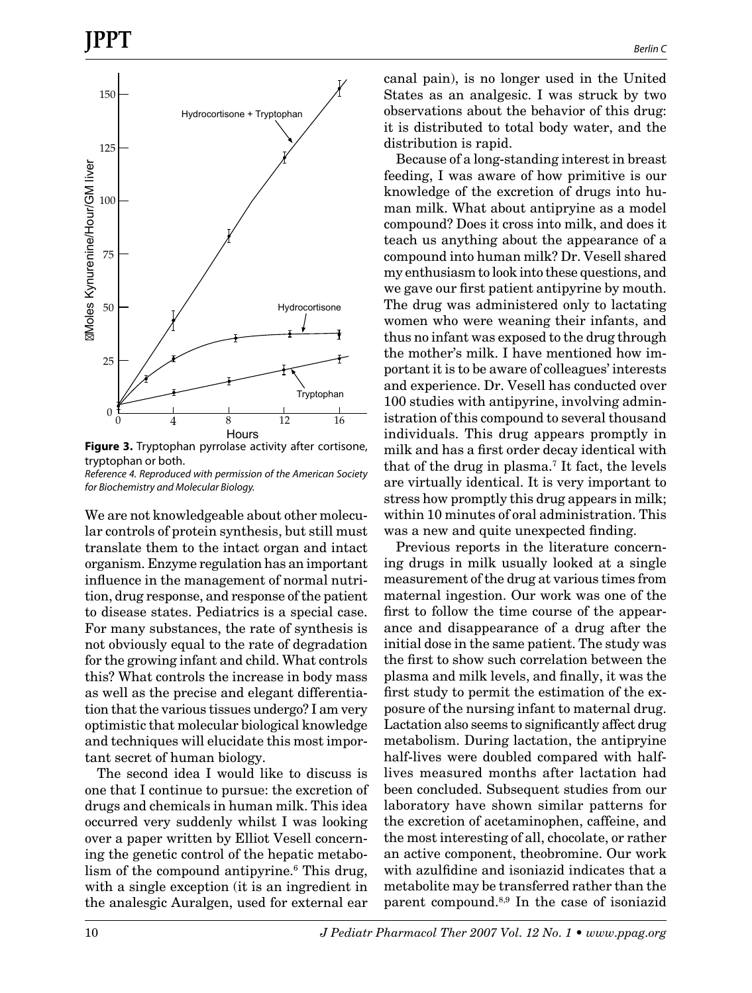

**Figure 3.** Tryptophan pyrrolase activity after cortisone, tryptophan or both.

*Reference 4. Reproduced with permission of the American Society for Biochemistry and Molecular Biology.*

We are not knowledgeable about other molecular controls of protein synthesis, but still must translate them to the intact organ and intact organism. Enzyme regulation has an important influence in the management of normal nutrition, drug response, and response of the patient to disease states. Pediatrics is a special case. For many substances, the rate of synthesis is not obviously equal to the rate of degradation for the growing infant and child. What controls this? What controls the increase in body mass as well as the precise and elegant differentiation that the various tissues undergo? I am very optimistic that molecular biological knowledge and techniques will elucidate this most important secret of human biology.

The second idea I would like to discuss is one that I continue to pursue: the excretion of drugs and chemicals in human milk. This idea occurred very suddenly whilst I was looking over a paper written by Elliot Vesell concerning the genetic control of the hepatic metabolism of the compound antipyrine.<sup>6</sup> This drug, with a single exception (it is an ingredient in the analesgic Auralgen, used for external ear

canal pain), is no longer used in the United States as an analgesic. I was struck by two observations about the behavior of this drug: it is distributed to total body water, and the distribution is rapid.

Because of a long-standing interest in breast feeding, I was aware of how primitive is our knowledge of the excretion of drugs into human milk. What about antipryine as a model compound? Does it cross into milk, and does it teach us anything about the appearance of a compound into human milk? Dr. Vesell shared my enthusiasm to look into these questions, and we gave our first patient antipyrine by mouth. The drug was administered only to lactating women who were weaning their infants, and thus no infant was exposed to the drug through the mother's milk. I have mentioned how important it is to be aware of colleagues' interests and experience. Dr. Vesell has conducted over 100 studies with antipyrine, involving administration of this compound to several thousand individuals. This drug appears promptly in milk and has a first order decay identical with that of the drug in plasma.7 It fact, the levels are virtually identical. It is very important to stress how promptly this drug appears in milk; within 10 minutes of oral administration. This was a new and quite unexpected finding.

Previous reports in the literature concerning drugs in milk usually looked at a single measurement of the drug at various times from maternal ingestion. Our work was one of the first to follow the time course of the appearance and disappearance of a drug after the initial dose in the same patient. The study was the first to show such correlation between the plasma and milk levels, and finally, it was the first study to permit the estimation of the exposure of the nursing infant to maternal drug. Lactation also seems to significantly affect drug metabolism. During lactation, the antipryine half-lives were doubled compared with halflives measured months after lactation had been concluded. Subsequent studies from our laboratory have shown similar patterns for the excretion of acetaminophen, caffeine, and the most interesting of all, chocolate, or rather an active component, theobromine. Our work with azulfidine and isoniazid indicates that a metabolite may be transferred rather than the parent compound.8,9 In the case of isoniazid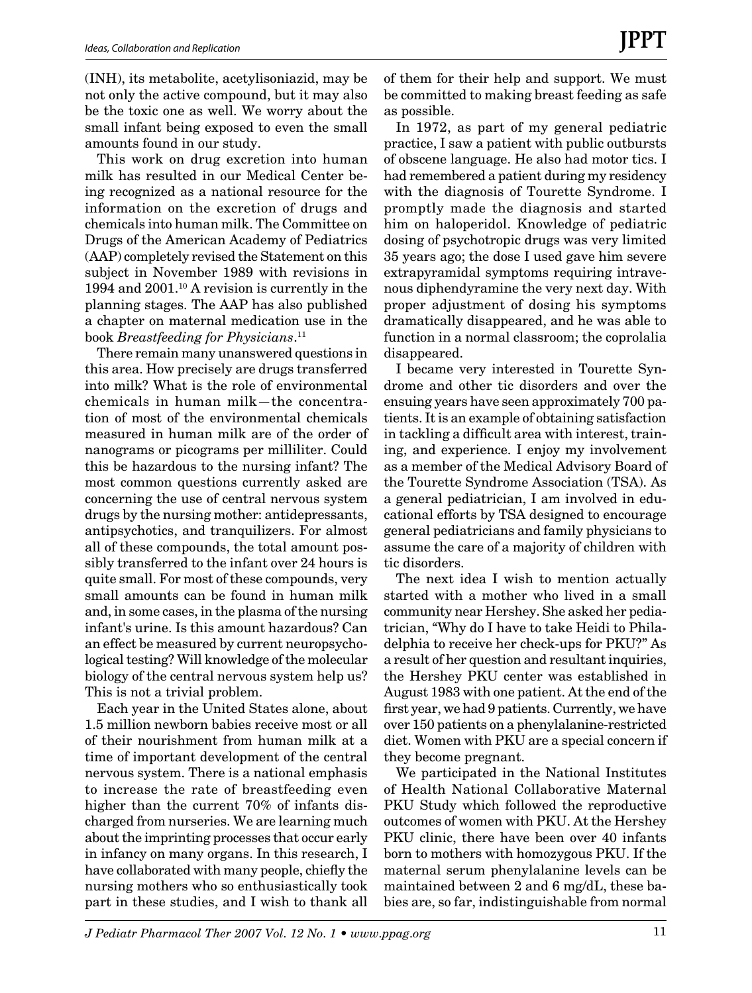(INH), its metabolite, acetylisoniazid, may be not only the active compound, but it may also be the toxic one as well. We worry about the small infant being exposed to even the small amounts found in our study.

This work on drug excretion into human milk has resulted in our Medical Center being recognized as a national resource for the information on the excretion of drugs and chemicals into human milk. The Committee on Drugs of the American Academy of Pediatrics (AAP) completely revised the Statement on this subject in November 1989 with revisions in 1994 and 2001.10 A revision is currently in the planning stages. The AAP has also published a chapter on maternal medication use in the book *Breastfeeding for Physicians*. 11

There remain many unanswered questions in this area. How precisely are drugs transferred into milk? What is the role of environmental chemicals in human milk—the concentration of most of the environmental chemicals measured in human milk are of the order of nanograms or picograms per milliliter. Could this be hazardous to the nursing infant? The most common questions currently asked are concerning the use of central nervous system drugs by the nursing mother: antidepressants, antipsychotics, and tranquilizers. For almost all of these compounds, the total amount possibly transferred to the infant over 24 hours is quite small. For most of these compounds, very small amounts can be found in human milk and, in some cases, in the plasma of the nursing infant's urine. Is this amount hazardous? Can an effect be measured by current neuropsychological testing? Will knowledge of the molecular biology of the central nervous system help us? This is not a trivial problem.

Each year in the United States alone, about 1.5 million newborn babies receive most or all of their nourishment from human milk at a time of important development of the central nervous system. There is a national emphasis to increase the rate of breastfeeding even higher than the current 70% of infants discharged from nurseries. We are learning much about the imprinting processes that occur early in infancy on many organs. In this research, I have collaborated with many people, chiefly the nursing mothers who so enthusiastically took part in these studies, and I wish to thank all of them for their help and support. We must be committed to making breast feeding as safe as possible.

In 1972, as part of my general pediatric practice, I saw a patient with public outbursts of obscene language. He also had motor tics. I had remembered a patient during my residency with the diagnosis of Tourette Syndrome. I promptly made the diagnosis and started him on haloperidol. Knowledge of pediatric dosing of psychotropic drugs was very limited 35 years ago; the dose I used gave him severe extrapyramidal symptoms requiring intravenous diphendyramine the very next day. With proper adjustment of dosing his symptoms dramatically disappeared, and he was able to function in a normal classroom; the coprolalia disappeared.

I became very interested in Tourette Syndrome and other tic disorders and over the ensuing years have seen approximately 700 patients. It is an example of obtaining satisfaction in tackling a difficult area with interest, training, and experience. I enjoy my involvement as a member of the Medical Advisory Board of the Tourette Syndrome Association (TSA). As a general pediatrician, I am involved in educational efforts by TSA designed to encourage general pediatricians and family physicians to assume the care of a majority of children with tic disorders.

The next idea I wish to mention actually started with a mother who lived in a small community near Hershey. She asked her pediatrician, "Why do I have to take Heidi to Philadelphia to receive her check-ups for PKU?" As a result of her question and resultant inquiries, the Hershey PKU center was established in August 1983 with one patient. At the end of the first year, we had 9 patients. Currently, we have over 150 patients on a phenylalanine-restricted diet. Women with PKU are a special concern if they become pregnant.

We participated in the National Institutes of Health National Collaborative Maternal PKU Study which followed the reproductive outcomes of women with PKU. At the Hershey PKU clinic, there have been over 40 infants born to mothers with homozygous PKU. If the maternal serum phenylalanine levels can be maintained between 2 and 6 mg/dL, these babies are, so far, indistinguishable from normal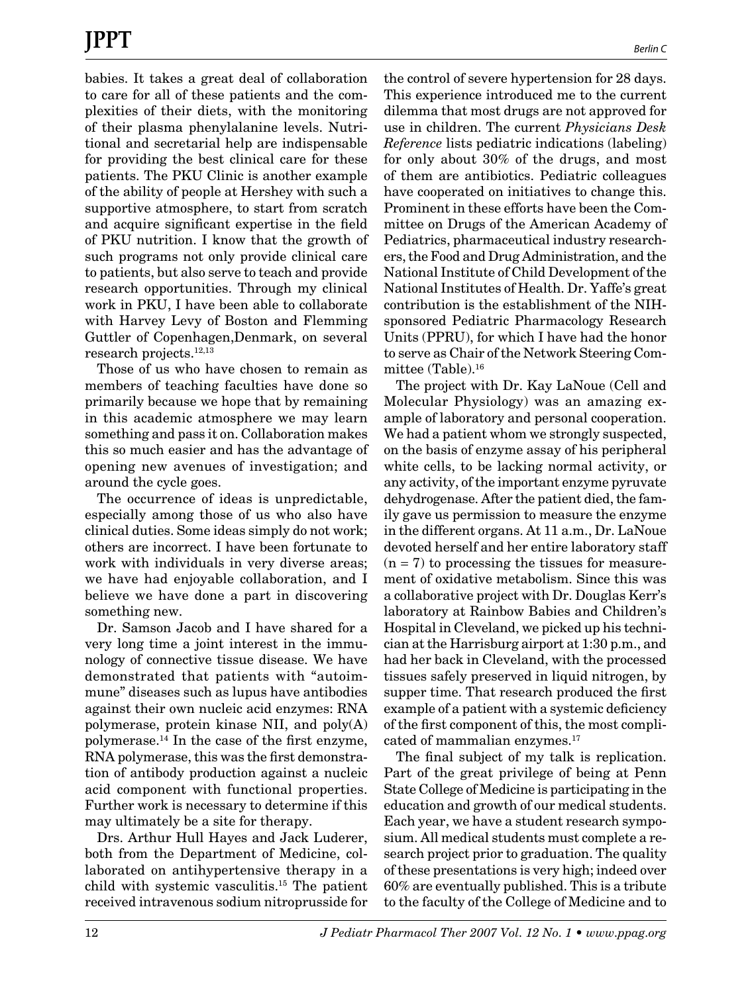babies. It takes a great deal of collaboration to care for all of these patients and the complexities of their diets, with the monitoring of their plasma phenylalanine levels. Nutritional and secretarial help are indispensable for providing the best clinical care for these patients. The PKU Clinic is another example of the ability of people at Hershey with such a supportive atmosphere, to start from scratch and acquire significant expertise in the field of PKU nutrition. I know that the growth of such programs not only provide clinical care to patients, but also serve to teach and provide research opportunities. Through my clinical work in PKU, I have been able to collaborate with Harvey Levy of Boston and Flemming Guttler of Copenhagen,Denmark, on several research projects.12,13

Those of us who have chosen to remain as members of teaching faculties have done so primarily because we hope that by remaining in this academic atmosphere we may learn something and pass it on. Collaboration makes this so much easier and has the advantage of opening new avenues of investigation; and around the cycle goes.

The occurrence of ideas is unpredictable, especially among those of us who also have clinical duties. Some ideas simply do not work; others are incorrect. I have been fortunate to work with individuals in very diverse areas; we have had enjoyable collaboration, and I believe we have done a part in discovering something new.

Dr. Samson Jacob and I have shared for a very long time a joint interest in the immunology of connective tissue disease. We have demonstrated that patients with "autoimmune" diseases such as lupus have antibodies against their own nucleic acid enzymes: RNA polymerase, protein kinase NII, and poly(A) polymerase.14 In the case of the first enzyme, RNA polymerase, this was the first demonstration of antibody production against a nucleic acid component with functional properties. Further work is necessary to determine if this may ultimately be a site for therapy.

Drs. Arthur Hull Hayes and Jack Luderer, both from the Department of Medicine, collaborated on antihypertensive therapy in a child with systemic vasculitis.15 The patient received intravenous sodium nitroprusside for the control of severe hypertension for 28 days. This experience introduced me to the current dilemma that most drugs are not approved for use in children. The current *Physicians Desk Reference* lists pediatric indications (labeling) for only about 30% of the drugs, and most of them are antibiotics. Pediatric colleagues have cooperated on initiatives to change this. Prominent in these efforts have been the Committee on Drugs of the American Academy of Pediatrics, pharmaceutical industry researchers, the Food and Drug Administration, and the National Institute of Child Development of the National Institutes of Health. Dr. Yaffe's great contribution is the establishment of the NIHsponsored Pediatric Pharmacology Research Units (PPRU), for which I have had the honor to serve as Chair of the Network Steering Committee (Table).16

The project with Dr. Kay LaNoue (Cell and Molecular Physiology) was an amazing example of laboratory and personal cooperation. We had a patient whom we strongly suspected, on the basis of enzyme assay of his peripheral white cells, to be lacking normal activity, or any activity, of the important enzyme pyruvate dehydrogenase. After the patient died, the family gave us permission to measure the enzyme in the different organs. At 11 a.m., Dr. LaNoue devoted herself and her entire laboratory staff  $(n = 7)$  to processing the tissues for measurement of oxidative metabolism. Since this was a collaborative project with Dr. Douglas Kerr's laboratory at Rainbow Babies and Children's Hospital in Cleveland, we picked up his technician at the Harrisburg airport at 1:30 p.m., and had her back in Cleveland, with the processed tissues safely preserved in liquid nitrogen, by supper time. That research produced the first example of a patient with a systemic deficiency of the first component of this, the most complicated of mammalian enzymes.<sup>17</sup>

The final subject of my talk is replication. Part of the great privilege of being at Penn State College of Medicine is participating in the education and growth of our medical students. Each year, we have a student research symposium. All medical students must complete a research project prior to graduation. The quality of these presentations is very high; indeed over 60% are eventually published. This is a tribute to the faculty of the College of Medicine and to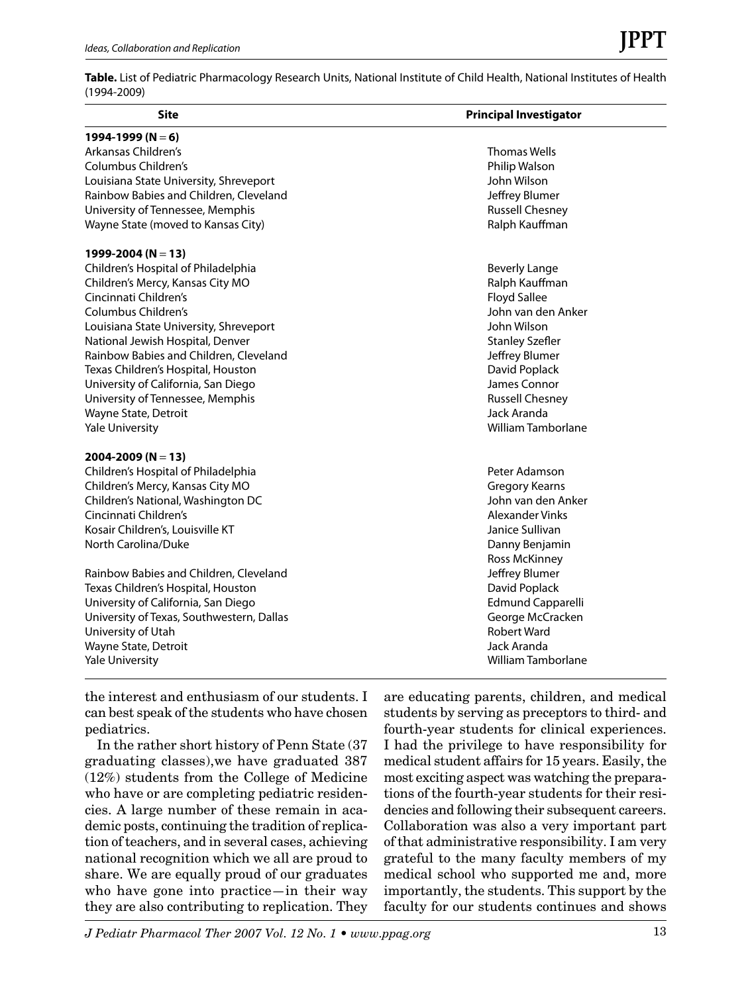**Table.** List of Pediatric Pharmacology Research Units, National Institute of Child Health, National Institutes of Health (1994-2009)

| <b>Site</b>                               | <b>Principal Investigator</b> |
|-------------------------------------------|-------------------------------|
| 1994-1999 (N = 6)                         |                               |
| Arkansas Children's                       | <b>Thomas Wells</b>           |
| Columbus Children's                       | Philip Walson                 |
| Louisiana State University, Shreveport    | John Wilson                   |
| Rainbow Babies and Children, Cleveland    | Jeffrey Blumer                |
| University of Tennessee, Memphis          | <b>Russell Chesney</b>        |
| Wayne State (moved to Kansas City)        | Ralph Kauffman                |
| 1999-2004 (N = 13)                        |                               |
| Children's Hospital of Philadelphia       | <b>Beverly Lange</b>          |
| Children's Mercy, Kansas City MO          | Ralph Kauffman                |
| Cincinnati Children's                     | <b>Floyd Sallee</b>           |
| Columbus Children's                       | John van den Anker            |
| Louisiana State University, Shreveport    | John Wilson                   |
| National Jewish Hospital, Denver          | <b>Stanley Szefler</b>        |
| Rainbow Babies and Children, Cleveland    | Jeffrey Blumer                |
| Texas Children's Hospital, Houston        | David Poplack                 |
| University of California, San Diego       | James Connor                  |
| University of Tennessee, Memphis          | <b>Russell Chesney</b>        |
| Wayne State, Detroit                      | Jack Aranda                   |
| <b>Yale University</b>                    | <b>William Tamborlane</b>     |
| 2004-2009 (N = 13)                        |                               |
| Children's Hospital of Philadelphia       | Peter Adamson                 |
| Children's Mercy, Kansas City MO          | <b>Gregory Kearns</b>         |
| Children's National, Washington DC        | John van den Anker            |
| Cincinnati Children's                     | Alexander Vinks               |
| Kosair Children's, Louisville KT          | Janice Sullivan               |
| North Carolina/Duke                       | Danny Benjamin                |
|                                           | Ross McKinney                 |
| Rainbow Babies and Children, Cleveland    | Jeffrey Blumer                |
| Texas Children's Hospital, Houston        | David Poplack                 |
| University of California, San Diego       | <b>Edmund Capparelli</b>      |
| University of Texas, Southwestern, Dallas | George McCracken              |
| University of Utah                        | <b>Robert Ward</b>            |
| Wayne State, Detroit                      | Jack Aranda                   |
| <b>Yale University</b>                    | <b>William Tamborlane</b>     |

the interest and enthusiasm of our students. I can best speak of the students who have chosen pediatrics.

In the rather short history of Penn State (37 graduating classes),we have graduated 387 (12%) students from the College of Medicine who have or are completing pediatric residencies. A large number of these remain in academic posts, continuing the tradition of replication of teachers, and in several cases, achieving national recognition which we all are proud to share. We are equally proud of our graduates who have gone into practice—in their way they are also contributing to replication. They are educating parents, children, and medical students by serving as preceptors to third- and fourth-year students for clinical experiences. I had the privilege to have responsibility for medical student affairs for 15 years. Easily, the most exciting aspect was watching the preparations of the fourth-year students for their residencies and following their subsequent careers. Collaboration was also a very important part of that administrative responsibility. I am very grateful to the many faculty members of my medical school who supported me and, more importantly, the students. This support by the faculty for our students continues and shows

*J Pediatr Pharmacol Ther 2007 Vol. 12 No. 1 • www.ppag.org* 13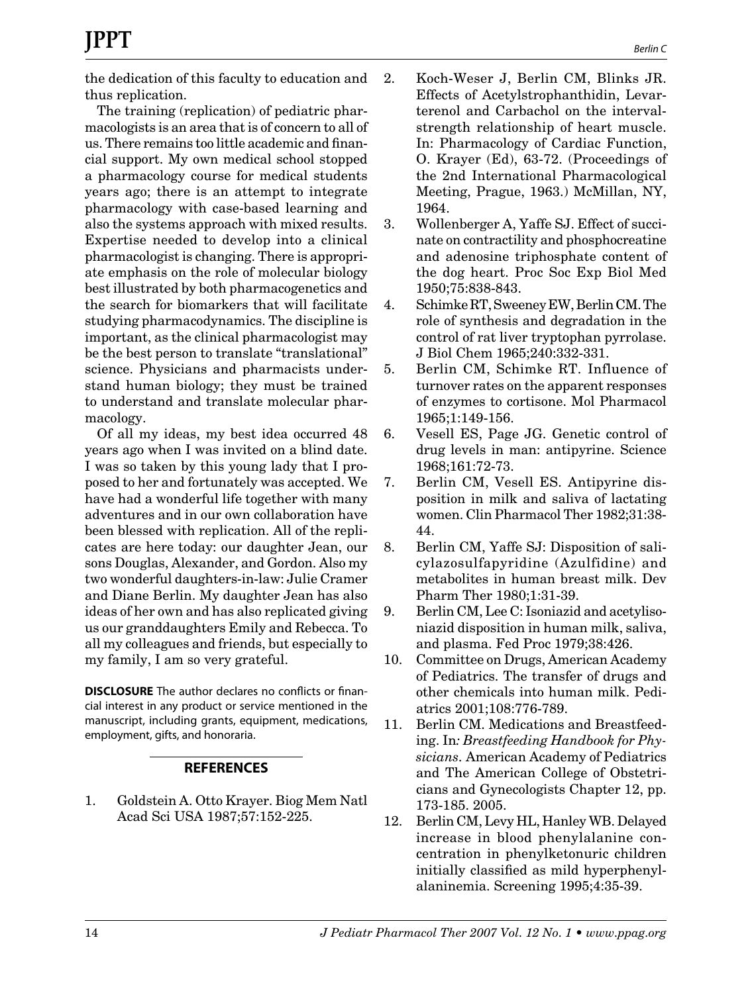the dedication of this faculty to education and thus replication.

The training (replication) of pediatric pharmacologists is an area that is of concern to all of us. There remains too little academic and financial support. My own medical school stopped a pharmacology course for medical students years ago; there is an attempt to integrate pharmacology with case-based learning and also the systems approach with mixed results. Expertise needed to develop into a clinical pharmacologist is changing. There is appropriate emphasis on the role of molecular biology best illustrated by both pharmacogenetics and the search for biomarkers that will facilitate studying pharmacodynamics. The discipline is important, as the clinical pharmacologist may be the best person to translate "translational" science. Physicians and pharmacists understand human biology; they must be trained to understand and translate molecular pharmacology.

Of all my ideas, my best idea occurred 48 years ago when I was invited on a blind date. I was so taken by this young lady that I proposed to her and fortunately was accepted. We have had a wonderful life together with many adventures and in our own collaboration have been blessed with replication. All of the replicates are here today: our daughter Jean, our sons Douglas, Alexander, and Gordon. Also my two wonderful daughters-in-law: Julie Cramer and Diane Berlin. My daughter Jean has also ideas of her own and has also replicated giving us our granddaughters Emily and Rebecca. To all my colleagues and friends, but especially to my family, I am so very grateful.

**DISCLOSURE** The author declares no conflicts or financial interest in any product or service mentioned in the manuscript, including grants, equipment, medications, employment, gifts, and honoraria.

## **REFERENCES**

1. Goldstein A. Otto Krayer. Biog Mem Natl Acad Sci USA 1987;57:152-225.

- 2. Koch-Weser J, Berlin CM, Blinks JR. Effects of Acetylstrophanthidin, Levarterenol and Carbachol on the intervalstrength relationship of heart muscle. In: Pharmacology of Cardiac Function, O. Krayer (Ed), 63-72. (Proceedings of the 2nd International Pharmacological Meeting, Prague, 1963.) McMillan, NY, 1964.
- 3. Wollenberger A, Yaffe SJ. Effect of succinate on contractility and phosphocreatine and adenosine triphosphate content of the dog heart. Proc Soc Exp Biol Med 1950;75:838-843.
- 4. Schimke RT, Sweeney EW, Berlin CM. The role of synthesis and degradation in the control of rat liver tryptophan pyrrolase. J Biol Chem 1965;240:332-331.
- 5. Berlin CM, Schimke RT. Influence of turnover rates on the apparent responses of enzymes to cortisone. Mol Pharmacol 1965;1:149-156.
- 6. Vesell ES, Page JG. Genetic control of drug levels in man: antipyrine. Science 1968;161:72-73.
- 7. Berlin CM, Vesell ES. Antipyrine disposition in milk and saliva of lactating women. Clin Pharmacol Ther 1982;31:38- 44.
- 8. Berlin CM, Yaffe SJ: Disposition of salicylazosulfapyridine (Azulfidine) and metabolites in human breast milk. Dev Pharm Ther 1980;1:31-39.
- 9. Berlin CM, Lee C: Isoniazid and acetylisoniazid disposition in human milk, saliva, and plasma. Fed Proc 1979;38:426.
- 10. Committee on Drugs, American Academy of Pediatrics. The transfer of drugs and other chemicals into human milk. Pediatrics 2001;108:776-789.
- 11. Berlin CM. Medications and Breastfeeding. In*: Breastfeeding Handbook for Physicians.* American Academy of Pediatrics and The American College of Obstetricians and Gynecologists Chapter 12, pp. 173-185. 2005.
- 12. Berlin CM, Levy HL, Hanley WB. Delayed increase in blood phenylalanine concentration in phenylketonuric children initially classified as mild hyperphenylalaninemia. Screening 1995;4:35-39.